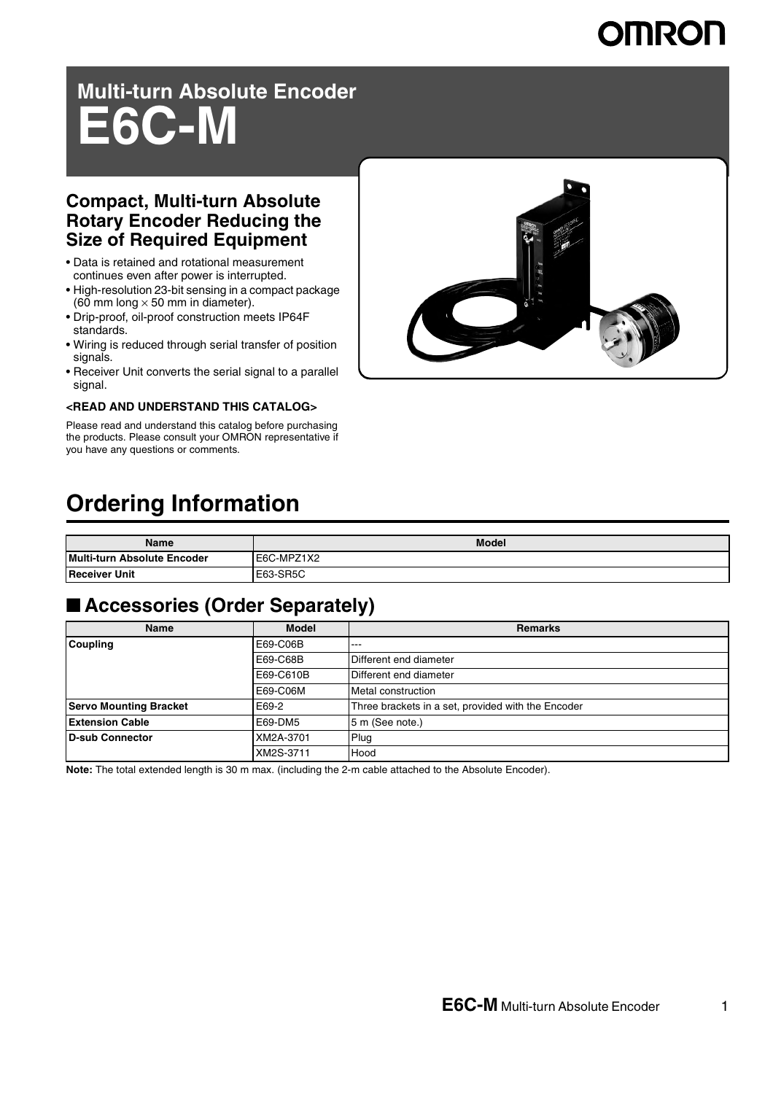# **Multi-turn Absolute Encoder E6C-M**

### **Compact, Multi-turn Absolute Rotary Encoder Reducing the Size of Required Equipment**

- Data is retained and rotational measurement continues even after power is interrupted.
- High-resolution 23-bit sensing in a compact package (60 mm long  $\times$  50 mm in diameter).
- Drip-proof, oil-proof construction meets IP64F standards.
- Wiring is reduced through serial transfer of position signals.
- Receiver Unit converts the serial signal to a parallel signal.

#### **<READ AND UNDERSTAND THIS CATALOG>**

Please read and understand this catalog before purchasing the products. Please consult your OMRON representative if you have any questions or comments.



## **Ordering Information**

| Name                               | <b>Model</b> |
|------------------------------------|--------------|
| <b>Multi-turn Absolute Encoder</b> | E6C-MPZ1X2   |
| <b>Receiver Unit</b>               | E63-SR5C     |

### ■ **Accessories (Order Separately)**

| Name                          | <b>Model</b> | <b>Remarks</b>                                     |
|-------------------------------|--------------|----------------------------------------------------|
| <b>Coupling</b>               | E69-C06B     | $- - -$                                            |
|                               | E69-C68B     | Different end diameter                             |
|                               | E69-C610B    | Different end diameter                             |
|                               | E69-C06M     | Metal construction                                 |
| <b>Servo Mounting Bracket</b> | E69-2        | Three brackets in a set, provided with the Encoder |
| <b>Extension Cable</b>        | E69-DM5      | 5 m (See note.)                                    |
| D-sub Connector               | XM2A-3701    | Plug                                               |
|                               | XM2S-3711    | Hood                                               |

**Note:** The total extended length is 30 m max. (including the 2-m cable attached to the Absolute Encoder).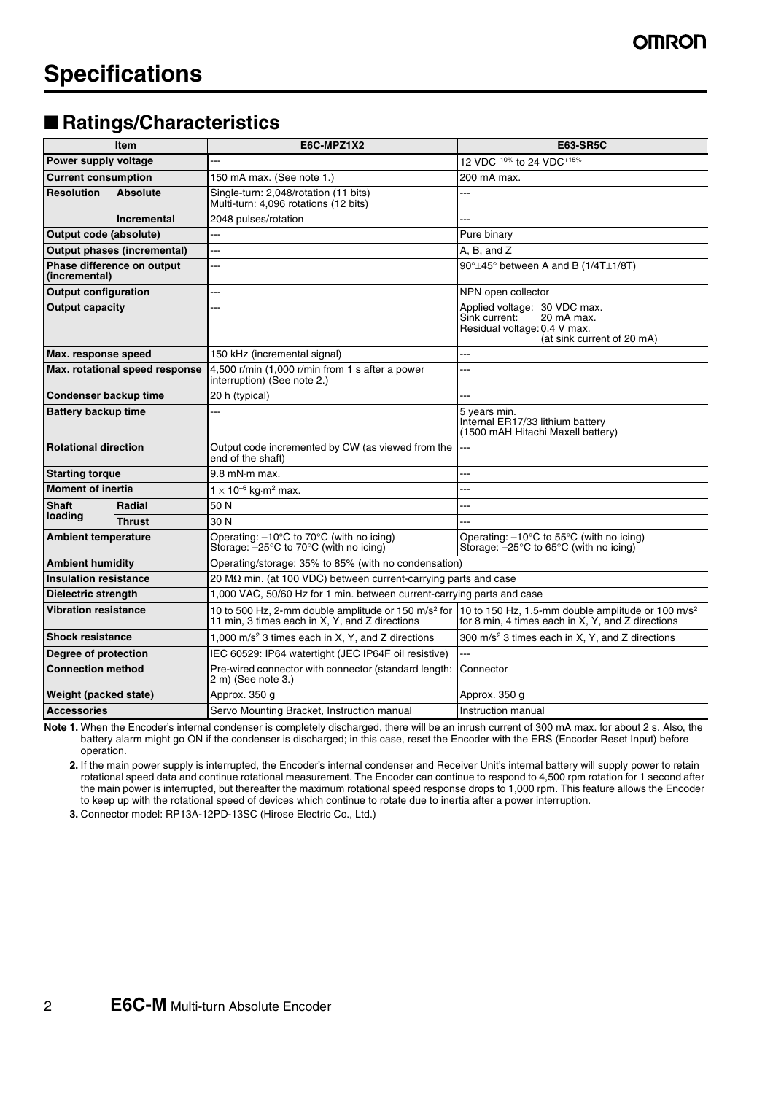### ■ Ratings/Characteristics

| Item                                 |                                    | E6C-MPZ1X2                                                                                                                                                                      | <b>E63-SR5C</b>                                                                                                              |  |
|--------------------------------------|------------------------------------|---------------------------------------------------------------------------------------------------------------------------------------------------------------------------------|------------------------------------------------------------------------------------------------------------------------------|--|
| Power supply voltage                 |                                    |                                                                                                                                                                                 | 12 VDC <sup>-10%</sup> to 24 VDC <sup>+15%</sup>                                                                             |  |
| <b>Current consumption</b>           |                                    | 150 mA max. (See note 1.)                                                                                                                                                       | 200 mA max.                                                                                                                  |  |
| <b>Absolute</b><br><b>Resolution</b> |                                    | Single-turn: 2,048/rotation (11 bits)<br>Multi-turn: 4,096 rotations (12 bits)                                                                                                  |                                                                                                                              |  |
|                                      | <b>Incremental</b>                 | 2048 pulses/rotation                                                                                                                                                            |                                                                                                                              |  |
| Output code (absolute)               |                                    | ---                                                                                                                                                                             | Pure binary                                                                                                                  |  |
|                                      | <b>Output phases (incremental)</b> | ---                                                                                                                                                                             | A. B. and Z                                                                                                                  |  |
| (incremental)                        | Phase difference on output         | L.                                                                                                                                                                              | $90^\circ \pm 45^\circ$ between A and B (1/4T $\pm$ 1/8T)                                                                    |  |
| <b>Output configuration</b>          |                                    | ---                                                                                                                                                                             | NPN open collector                                                                                                           |  |
| <b>Output capacity</b>               |                                    | .                                                                                                                                                                               | Applied voltage: 30 VDC max.<br>Sink current:<br>20 mA max.<br>Residual voltage: 0.4 V max.<br>(at sink current of 20 mA)    |  |
| Max. response speed                  |                                    | 150 kHz (incremental signal)                                                                                                                                                    | ---                                                                                                                          |  |
| Max. rotational speed response       |                                    | 4,500 r/min $(1,000$ r/min from 1 s after a power<br><br>interruption) (See note 2.)                                                                                            |                                                                                                                              |  |
| Condenser backup time                |                                    | 20 h (typical)                                                                                                                                                                  | ---                                                                                                                          |  |
| <b>Battery backup time</b>           |                                    |                                                                                                                                                                                 | 5 years min.<br>Internal ER17/33 lithium battery<br>(1500 mAH Hitachi Maxell battery)                                        |  |
| <b>Rotational direction</b>          |                                    | Output code incremented by CW (as viewed from the<br>end of the shaft)                                                                                                          | $---$                                                                                                                        |  |
| <b>Starting torque</b>               |                                    | $9.8$ mN $\cdot$ m max.                                                                                                                                                         | ---                                                                                                                          |  |
| <b>Moment of inertia</b>             |                                    | $1 \times 10^{-6}$ kg·m <sup>2</sup> max.                                                                                                                                       |                                                                                                                              |  |
| <b>Shaft</b>                         | Radial                             | 50 N                                                                                                                                                                            | .                                                                                                                            |  |
| loading                              | <b>Thrust</b>                      | 30 N                                                                                                                                                                            |                                                                                                                              |  |
| <b>Ambient temperature</b>           |                                    | Operating: $-10^{\circ}$ C to 70 $^{\circ}$ C (with no icing)<br>Storage: $-25^{\circ}$ C to 70 $^{\circ}$ C (with no icing)                                                    | Operating: $-10^{\circ}$ C to 55 $^{\circ}$ C (with no icing)<br>Storage: $-25^{\circ}$ C to 65 $^{\circ}$ C (with no icing) |  |
| <b>Ambient humidity</b>              |                                    | Operating/storage: 35% to 85% (with no condensation)                                                                                                                            |                                                                                                                              |  |
| <b>Insulation resistance</b>         |                                    | 20 M $\Omega$ min. (at 100 VDC) between current-carrying parts and case                                                                                                         |                                                                                                                              |  |
| Dielectric strength                  |                                    | 1,000 VAC, 50/60 Hz for 1 min. between current-carrying parts and case                                                                                                          |                                                                                                                              |  |
| <b>Vibration resistance</b>          |                                    | 10 to 500 Hz, 2-mm double amplitude or 150 m/s <sup>2</sup> for 10 to 150 Hz, 1.5-mm double amplitude or 100 m/s <sup>2</sup><br>11 min, 3 times each in X, Y, and Z directions | for 8 min, 4 times each in X, Y, and Z directions                                                                            |  |
| <b>Shock resistance</b>              |                                    | 1,000 $m/s2$ 3 times each in X, Y, and Z directions                                                                                                                             | 300 m/s <sup>2</sup> 3 times each in X, Y, and Z directions                                                                  |  |
| Degree of protection                 |                                    | IEC 60529: IP64 watertight (JEC IP64F oil resistive)                                                                                                                            | ---                                                                                                                          |  |
| <b>Connection method</b>             |                                    | Pre-wired connector with connector (standard length:<br>2 m) (See note 3.)                                                                                                      | Connector                                                                                                                    |  |
| Weight (packed state)                |                                    | Approx. 350 g                                                                                                                                                                   | Approx. 350 g                                                                                                                |  |
| <b>Accessories</b>                   |                                    | Servo Mounting Bracket, Instruction manual                                                                                                                                      | Instruction manual                                                                                                           |  |

**Note 1.** When the Encoder's internal condenser is completely discharged, there will be an inrush current of 300 mA max. for about 2 s. Also, the battery alarm might go ON if the condenser is discharged; in this case, reset the Encoder with the ERS (Encoder Reset Input) before operation.

**2.** If the main power supply is interrupted, the Encoder's internal condenser and Receiver Unit's internal battery will supply power to retain rotational speed data and continue rotational measurement. The Encoder can continue to respond to 4,500 rpm rotation for 1 second after the main power is interrupted, but thereafter the maximum rotational speed response drops to 1,000 rpm. This feature allows the Encoder to keep up with the rotational speed of devices which continue to rotate due to inertia after a power interruption.

**3.** Connector model: RP13A-12PD-13SC (Hirose Electric Co., Ltd.)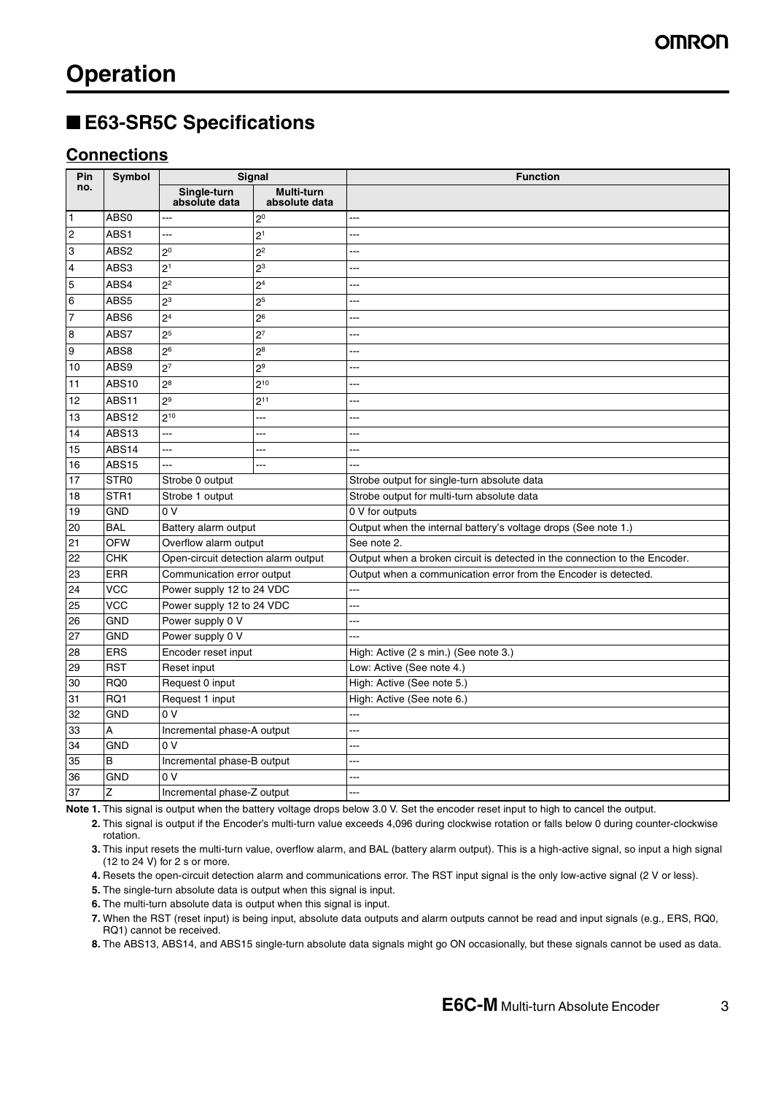### ■ **E63-SR5C Specifications**

### **Connections**

| Pin              | <b>Symbol</b>    | Signal                              |                                    | <b>Function</b>                                                            |
|------------------|------------------|-------------------------------------|------------------------------------|----------------------------------------------------------------------------|
| no.              |                  | Single-turn<br>absolute data        | <b>Multi-turn</b><br>absolute data |                                                                            |
| $\overline{1}$   | ABS0             | ---                                 | 2 <sup>0</sup>                     |                                                                            |
| $\overline{c}$   | ABS1             | ---                                 | 2 <sup>1</sup>                     |                                                                            |
| 3                | ABS2             | 2 <sup>0</sup>                      | 2 <sup>2</sup>                     | ---                                                                        |
| $\overline{4}$   | ABS3             | 2 <sup>1</sup>                      | $2^3$                              |                                                                            |
| 5                | ABS4             | 2 <sup>2</sup>                      | 2 <sup>4</sup>                     | ---                                                                        |
| 6                | ABS5             | 2 <sup>3</sup>                      | 2 <sup>5</sup>                     |                                                                            |
| 7                | ABS6             | 2 <sup>4</sup>                      | 2 <sup>6</sup>                     |                                                                            |
| $\boldsymbol{8}$ | ABS7             | 2 <sup>5</sup>                      | 2 <sup>7</sup>                     | .                                                                          |
| 9                | ABS8             | 2 <sup>6</sup>                      | $2^8$                              | ---                                                                        |
| 10               | ABS9             | 2 <sup>7</sup>                      | 2 <sup>9</sup>                     |                                                                            |
| 11               | <b>ABS10</b>     | 2 <sup>8</sup>                      | $2^{10}$                           |                                                                            |
| 12               | ABS11            | 2 <sup>9</sup>                      | $2^{11}$                           |                                                                            |
| 13               | ABS12            | $2^{10}$                            | ---                                | ---                                                                        |
| 14               | ABS13            | ---                                 | ---                                | ---                                                                        |
| 15               | ABS14            | ---                                 | ---                                | ---                                                                        |
| 16               | <b>ABS15</b>     |                                     |                                    |                                                                            |
| 17               | STR <sub>0</sub> | Strobe 0 output                     |                                    | Strobe output for single-turn absolute data                                |
| 18               | STR <sub>1</sub> | Strobe 1 output                     |                                    | Strobe output for multi-turn absolute data                                 |
| 19               | <b>GND</b>       | 0 <sup>0</sup>                      |                                    | 0 V for outputs                                                            |
| 20               | <b>BAL</b>       | Battery alarm output                |                                    | Output when the internal battery's voltage drops (See note 1.)             |
| 21               | <b>OFW</b>       | Overflow alarm output               |                                    | See note 2.                                                                |
| 22               | CHK              | Open-circuit detection alarm output |                                    | Output when a broken circuit is detected in the connection to the Encoder. |
| 23               | <b>ERR</b>       | Communication error output          |                                    | Output when a communication error from the Encoder is detected.            |
| 24               | <b>VCC</b>       | Power supply 12 to 24 VDC           |                                    | ---                                                                        |
| 25               | $\overline{VCC}$ | Power supply 12 to 24 VDC           |                                    |                                                                            |
| 26               | <b>GND</b>       | Power supply 0 V                    |                                    | ---                                                                        |
| 27               | <b>GND</b>       | Power supply 0 V                    |                                    | ---                                                                        |
| 28               | <b>ERS</b>       | Encoder reset input                 |                                    | High: Active (2 s min.) (See note 3.)                                      |
| 29               | <b>RST</b>       | Reset input                         |                                    | Low: Active (See note 4.)                                                  |
| 30               | RQ <sub>0</sub>  | Request 0 input                     |                                    | High: Active (See note 5.)                                                 |
| 31               | $\overline{RQ1}$ | Request 1 input                     |                                    | High: Active (See note 6.)                                                 |
| 32               | <b>GND</b>       | 0 <sub>V</sub>                      |                                    | ---                                                                        |
| 33               | A                | Incremental phase-A output          |                                    | ---                                                                        |
| 34               | <b>GND</b>       | 0 <sub>V</sub>                      |                                    |                                                                            |
| 35               | B                | Incremental phase-B output          |                                    | ---                                                                        |
| 36               | <b>GND</b>       | 0 <sup>0</sup>                      |                                    |                                                                            |
| 37               | Z                | Incremental phase-Z output          |                                    |                                                                            |

**Note 1.** This signal is output when the battery voltage drops below 3.0 V. Set the encoder reset input to high to cancel the output.

**2.** This signal is output if the Encoder's multi-turn value exceeds 4,096 during clockwise rotation or falls below 0 during counter-clockwise rotation.

**3.** This input resets the multi-turn value, overflow alarm, and BAL (battery alarm output). This is a high-active signal, so input a high signal (12 to 24 V) for 2 s or more.

**4.** Resets the open-circuit detection alarm and communications error. The RST input signal is the only low-active signal (2 V or less).

**5.** The single-turn absolute data is output when this signal is input.

**6.** The multi-turn absolute data is output when this signal is input.

**7.** When the RST (reset input) is being input, absolute data outputs and alarm outputs cannot be read and input signals (e.g., ERS, RQ0, RQ1) cannot be received.

**8.** The ABS13, ABS14, and ABS15 single-turn absolute data signals might go ON occasionally, but these signals cannot be used as data.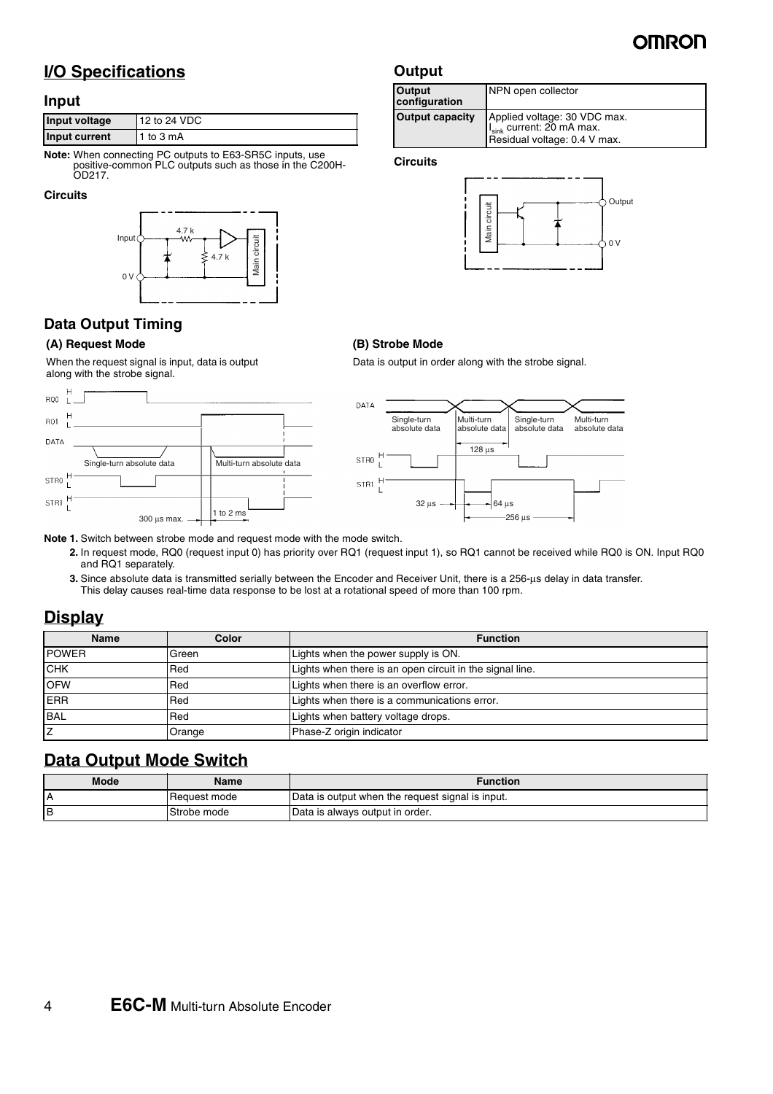

Output

 $\Omega$ 

### **I/O Specifications**

#### **Input**

| Input voltage | 12 to 24 VDC |
|---------------|--------------|
| Input current | 1 to 3 mA    |

**Note:** When connecting PC outputs to E63-SR5C inputs, use positive-common PLC outputs such as those in the C200H-OD217.

#### **Circuits**



#### **Data Output Timing**

#### **(A) Request Mode**

When the request signal is input, data is output along with the strobe signal.





Data is output in order along with the strobe signal.

#### **Note 1.** Switch between strobe mode and request mode with the mode switch.

**2.** In request mode, RQ0 (request input 0) has priority over RQ1 (request input 1), so RQ1 cannot be received while RQ0 is ON. Input RQ0 and RQ1 separately.

**Output**

NPN open collector

I<sub>sink</sub> current: 20 mA max. Residual voltage: 0.4 V max.

**Output capacity** Applied voltage: 30 VDC max.

Main circuit

circuit Aain

**Output configuration**

**Circuits**

**(B) Strobe Mode**

**3.** Since absolute data is transmitted serially between the Encoder and Receiver Unit, there is a 256-µs delay in data transfer. This delay causes real-time data response to be lost at a rotational speed of more than 100 rpm.

#### **Display**

| <b>Name</b>  | Color  | <b>Function</b>                                          |
|--------------|--------|----------------------------------------------------------|
| <b>POWER</b> | Green  | Lights when the power supply is ON.                      |
| <b>CHK</b>   | Red    | Lights when there is an open circuit in the signal line. |
| <b>OFW</b>   | Red    | Lights when there is an overflow error.                  |
| <b>ERR</b>   | Red    | Lights when there is a communications error.             |
| <b>BAL</b>   | Red    | Lights when battery voltage drops.                       |
|              | Orange | Phase-Z origin indicator                                 |

#### **Data Output Mode Switch**

| <b>Mode</b> | Name           | <b>Function</b>                                  |
|-------------|----------------|--------------------------------------------------|
|             | l Reauest mode | Data is output when the request signal is input. |
|             | Strobe mode    | Data is always output in order.                  |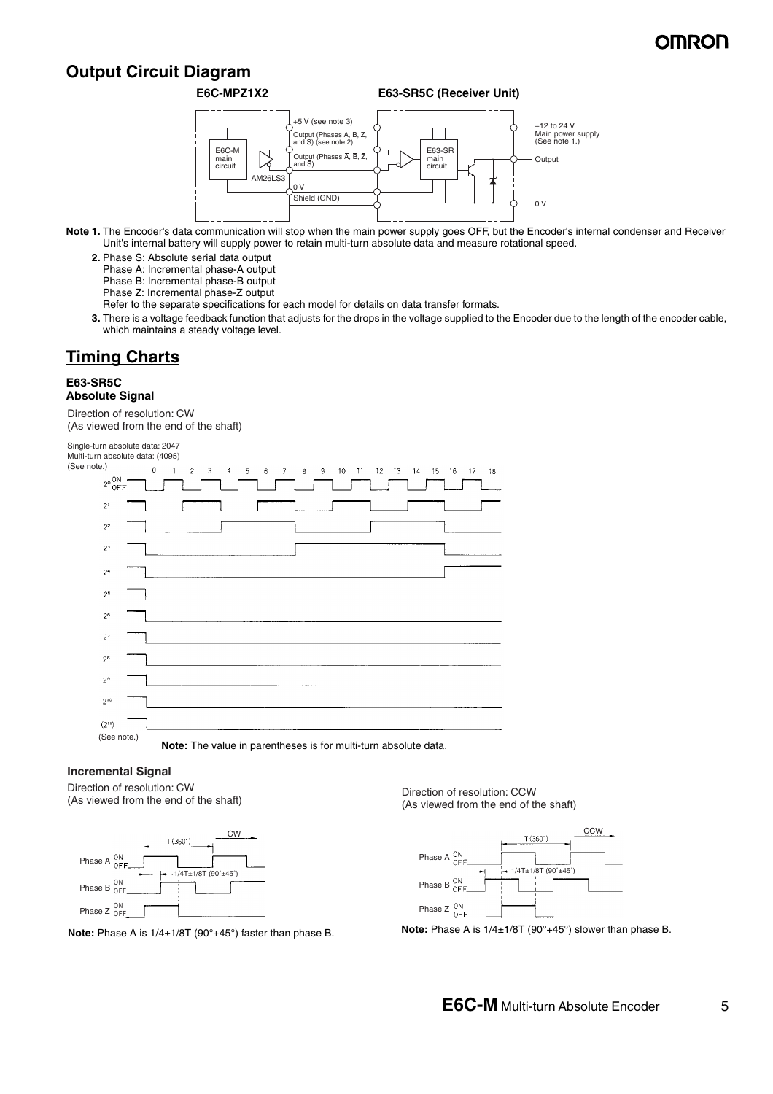### **Output Circuit Diagram**

#### **E6C-MPZ1X2 E63-SR5C (Receiver Unit)**



- **Note 1.** The Encoder's data communication will stop when the main power supply goes OFF, but the Encoder's internal condenser and Receiver Unit's internal battery will supply power to retain multi-turn absolute data and measure rotational speed.
	- **2.** Phase S: Absolute serial data output
		- Phase A: Incremental phase-A output
		- Phase B: Incremental phase-B output
		- Phase Z: Incremental phase-Z output
		- Refer to the separate specifications for each model for details on data transfer formats.
	- **3.** There is a voltage feedback function that adjusts for the drops in the voltage supplied to the Encoder due to the length of the encoder cable, which maintains a steady voltage level.

### **Timing Charts**

#### **E63-SR5C Absolute Signal**

Direction of resolution: CW (As viewed from the end of the shaft)

Single-turn absolute data: 2047 Multi-turn absolute data: (4095) (See note.)  $\Delta$  $\mathbf{1}$  $\overline{2}$  $\overline{a}$  $6\overline{6}$  $\overline{z}$  $\overline{8}$  $\mathsf{Q}$  $10<sup>°</sup>$  $11 - 12 - 13 - 14$  $15 16$  $17$  $2^{\circ}$ <sup>ON</sup><br>OFF  $\mathfrak{p}$  $2<sup>2</sup>$  $2<sup>3</sup>$  $2<sup>4</sup>$  $2<sup>5</sup>$  $2<sup>6</sup>$  $2^7$  $28$  $2<sup>9</sup>$  $2^{\circ}$  $(2^{11})$ (See note.) **Note:** The value in parentheses is for multi-turn absolute data.

**Incremental Signal**

Direction of resolution: CW (As viewed from the end of the shaft)





Direction of resolution: CCW (As viewed from the end of the shaft)



**Note:** Phase A is 1/4±1/8T (90°+45°) faster than phase B. **Note:** Phase A is 1/4±1/8T (90°+45°) slower than phase B.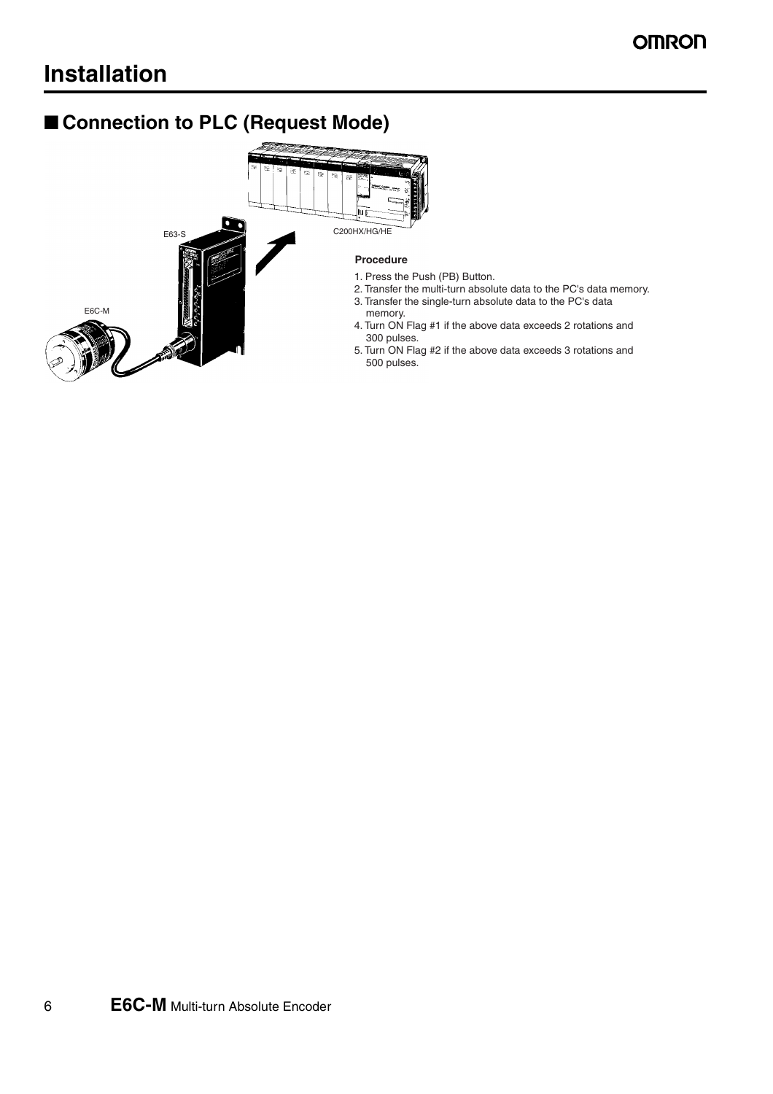## ■ **Connection to PLC (Request Mode)**



- 1. Press the Push (PB) Button.
- 2. Transfer the multi-turn absolute data to the PC's data memory.
- 3. Transfer the single-turn absolute data to the PC's data
- 4. Turn ON Flag #1 if the above data exceeds 2 rotations and
- 5. Turn ON Flag #2 if the above data exceeds 3 rotations and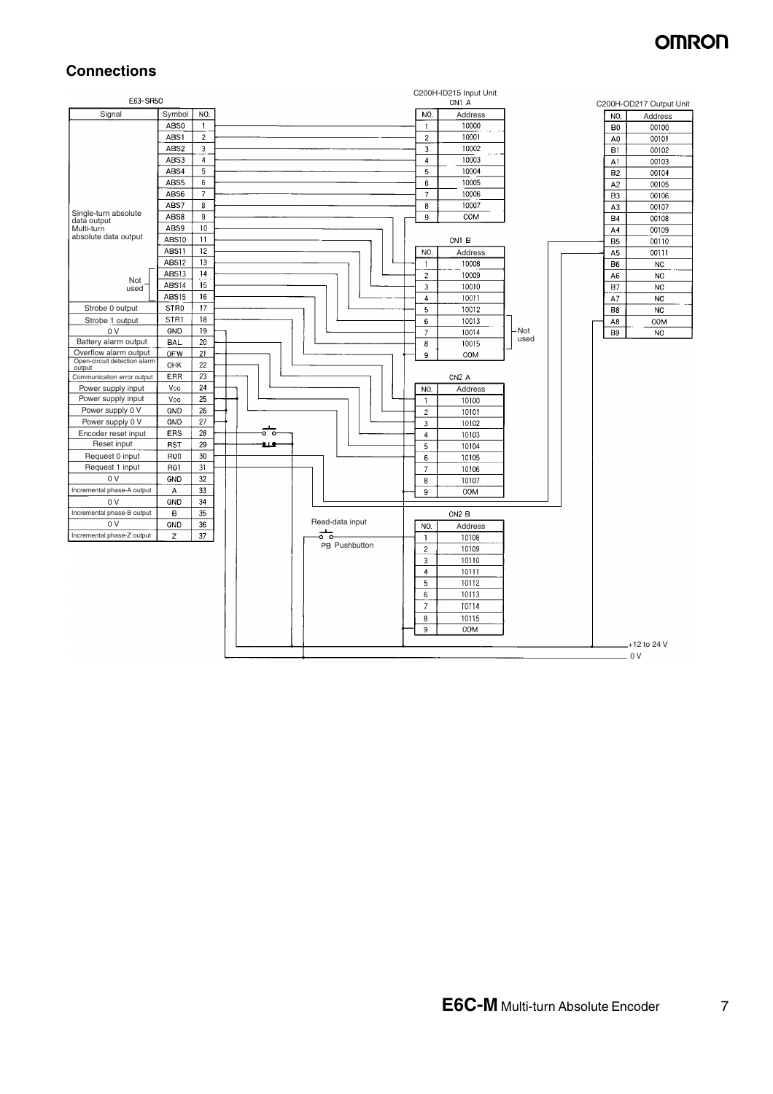#### **Connections**

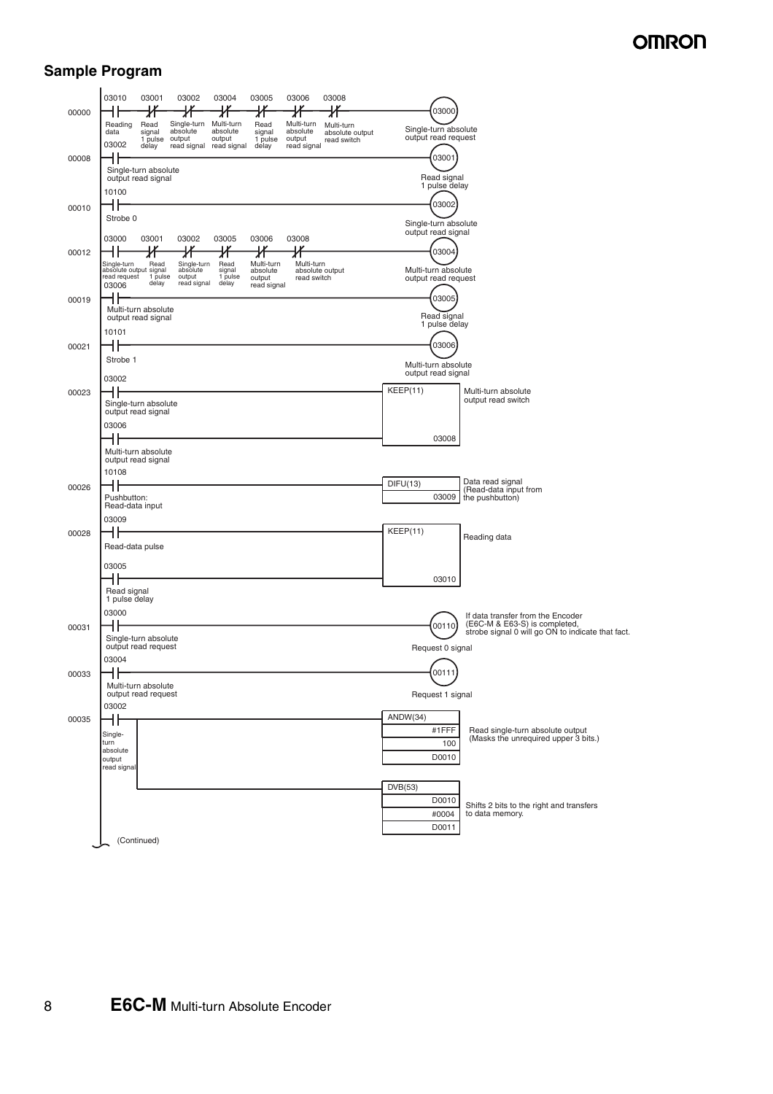### **Sample Program**

| 00000 | 03010<br>03001<br>03002<br>03006<br>03004<br>03005<br>03008<br>氺<br>Ж<br>Ж<br>ℋ<br>Ж<br>ℋ<br>Single-turn Multi-turn<br>Multi-turn<br>Reading<br>Read<br>Read<br>Multi-turn                                                                                                              | 03000                                                                                                                            |
|-------|-----------------------------------------------------------------------------------------------------------------------------------------------------------------------------------------------------------------------------------------------------------------------------------------|----------------------------------------------------------------------------------------------------------------------------------|
| 00008 | absolute<br>absolute<br>absolute<br>data<br>signal<br>signal<br>absolute output<br>output<br>output<br>output<br>1 pulse<br>1 pulse<br>read switch<br>03002<br>read signal read signal<br>delay<br>read signal<br>delay<br>╢<br>Single-turn absolute                                    | Single-turn absolute<br>output read request<br>03001                                                                             |
| 00010 | output read signal<br>10100<br>╫                                                                                                                                                                                                                                                        | Read signal<br>1 pulse delay<br>03002                                                                                            |
| 00012 | Strobe 0<br>03000<br>03001<br>03002<br>03005<br>03006<br>03008<br>ℋ<br>氺<br>Ж<br>∦<br>Ж                                                                                                                                                                                                 | Single-turn absolute<br>output read signal<br>03004                                                                              |
|       | Read<br>Read<br>Multi-turn<br>Single-turn<br>Single-turn<br>Multi-turn<br>absolute output signal<br>absolute output<br>absolute<br>signal<br>absolute<br>read request<br>1 pulse<br>1 pulse<br>output<br>output<br>read switch<br>delay<br>read signal<br>delay<br>03006<br>read signal | Multi-turn absolute<br>output read request                                                                                       |
| 00019 | Multi-turn absolute<br>output read signal<br>10101                                                                                                                                                                                                                                      | 03005<br>Read signal<br>1 pulse delay                                                                                            |
| 00021 | d۴<br>Strobe 1<br>03002                                                                                                                                                                                                                                                                 | 03006<br>Multi-turn absolute<br>output read signal                                                                               |
| 00023 | d۱<br>Single-turn absolute<br>output read signal                                                                                                                                                                                                                                        | KEEP(11)<br>Multi-turn absolute<br>output read switch                                                                            |
|       | 03006<br>łŀ<br>Multi-turn absolute<br>output read signal                                                                                                                                                                                                                                | 03008                                                                                                                            |
| 00026 | 10108<br>Pushbutton:<br>Read-data input                                                                                                                                                                                                                                                 | Data read signal<br>DIFU(13)<br>(Read-data input from<br>03009<br>the pushbutton)                                                |
| 00028 | 03009<br>Read-data pulse                                                                                                                                                                                                                                                                | KEEP(11)<br>Reading data                                                                                                         |
|       | 03005<br>╢                                                                                                                                                                                                                                                                              | 03010                                                                                                                            |
| 00031 | Read signal<br>1 pulse delay<br>03000                                                                                                                                                                                                                                                   | If data transfer from the Encoder<br>(E6C-M & E63-S) is completed,<br>00110<br>strobe signal 0 will go ON to indicate that fact. |
|       | Single-turn absolute<br>output read request<br>03004                                                                                                                                                                                                                                    | Request 0 signal                                                                                                                 |
| 00033 | . .<br>11<br>Multi-turn absolute<br>output read request                                                                                                                                                                                                                                 | 00111<br>Request 1 signal                                                                                                        |
| 00035 | 03002<br>Single-<br>turn<br>absolute<br>output                                                                                                                                                                                                                                          | ANDW(34)<br>Read single-turn absolute output<br>#1FFF<br>(Masks the unrequired upper 3 bits.)<br>100<br>D0010                    |
|       | read signal                                                                                                                                                                                                                                                                             | DVB(53)<br>D0010                                                                                                                 |
|       | (Continued)                                                                                                                                                                                                                                                                             | Shifts 2 bits to the right and transfers<br>to data memory.<br>#0004<br>D0011                                                    |

8 **E6C-M** Multi-turn Absolute Encoder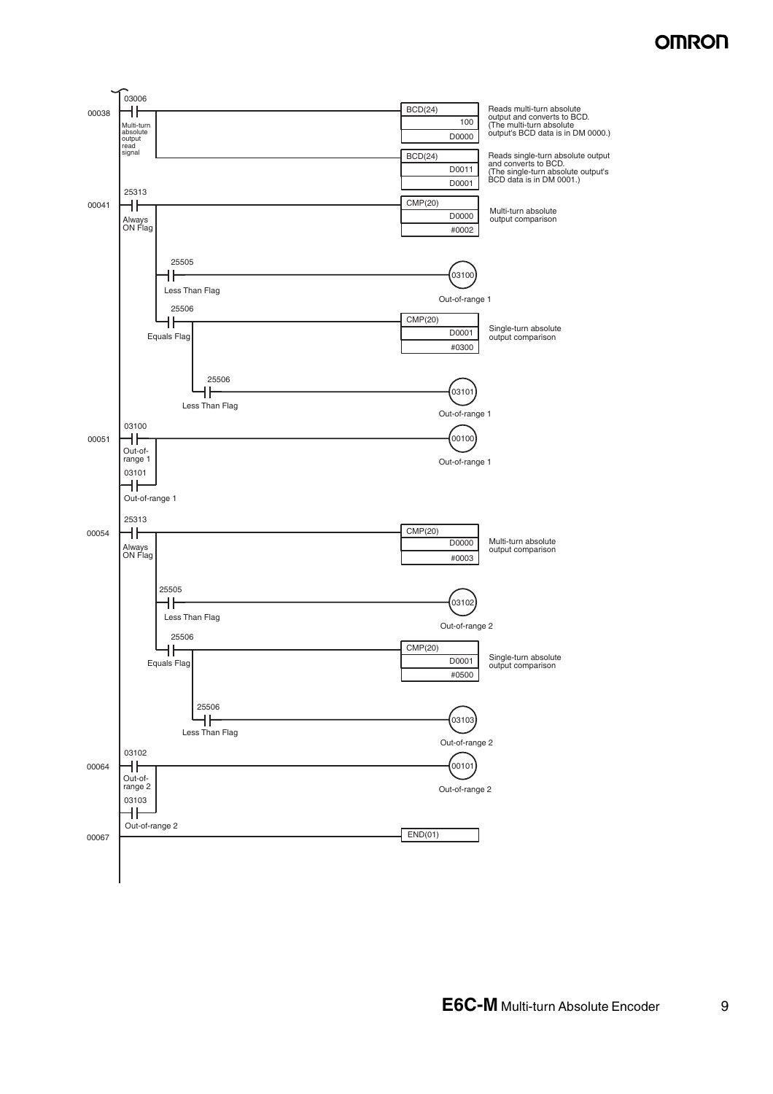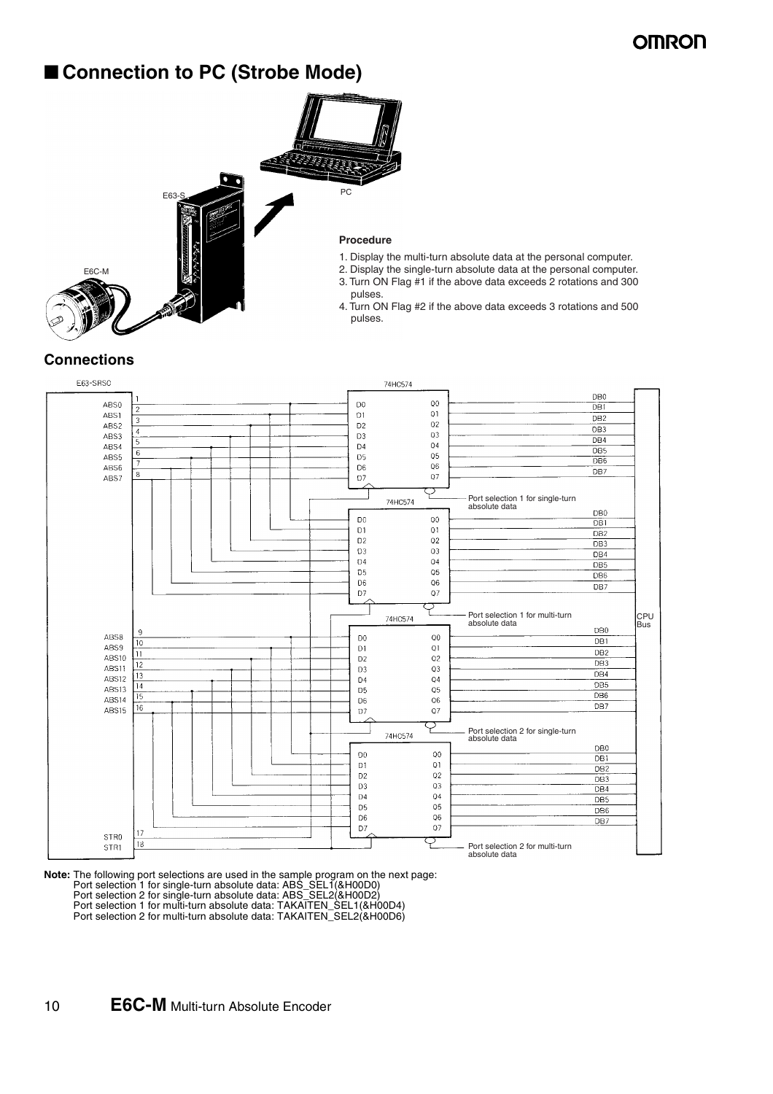### ■ **Connection to PC (Strobe Mode)**



- 1. Display the multi-turn absolute data at the personal computer.
- 2. Display the single-turn absolute data at the personal computer.
- 3. Turn ON Flag #1 if the above data exceeds 2 rotations and 300
- 4. Turn ON Flag #2 if the above data exceeds 3 rotations and 500

#### **Connections**



**Note:** The following port selections are used in the sample program on the next page: Port selection 1 for single-turn absolute data: ABS\_SEL1(&H00D0) Port selection 2 for single-turn absolute data: ABS\_SEL2(&H00D2) Port selection 1 for multi-turn absolute data: TAKAITEN\_SEL1(&H00D4) Port selection 2 for multi-turn absolute data: TAKAITEN\_SEL2(&H00D6)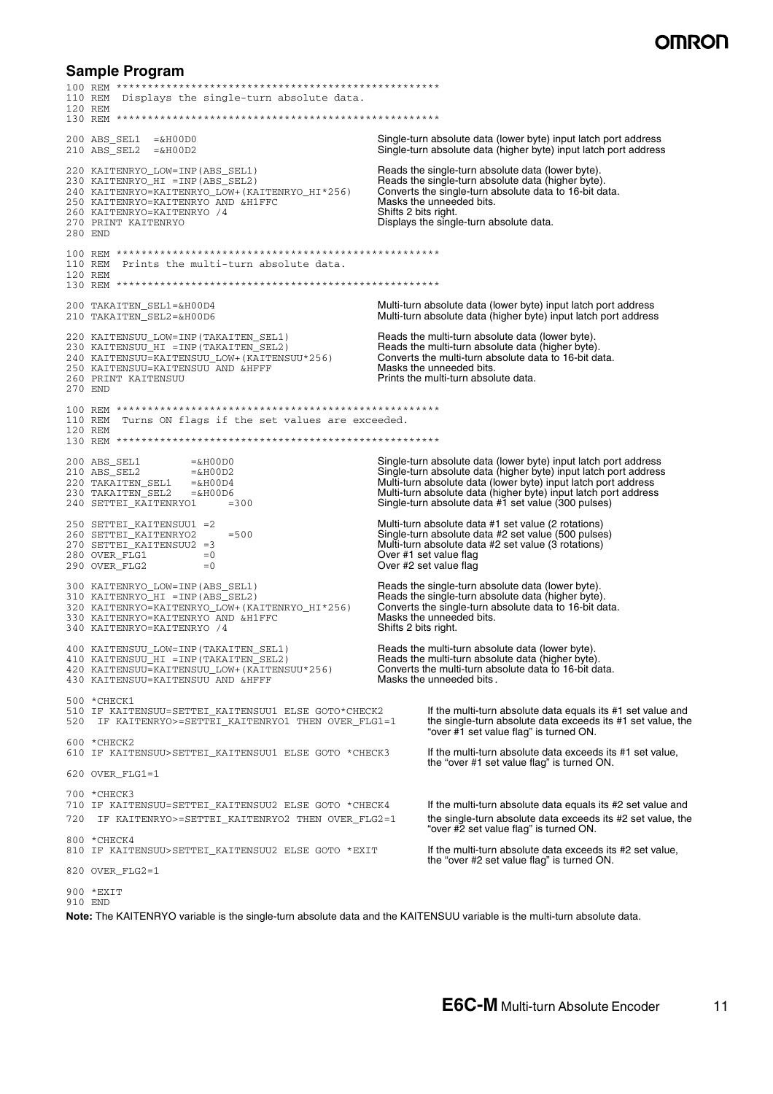### **SMPO**

#### **Sample Program**

100 REM \*\*\*\*\*\*\*\*\*\*\*\*\*\*\*\*\*\*\*\*\*\*\*\*\*\*\*\*\*\*\*\*\*\*\*\*\*\*\*\*\*\*\*\*\*\*\*\*\*\*\*\* 110 REM Displays the single-turn absolute data. 120 REM 130 REM \*\*\*\*\*\*\*\*\*\*\*\*\*\*\*\*\*\*\*\*\*\*\*\*\*\*\*\*\*\*\*\*\*\*\*\*\*\*\*\*\*\*\*\*\*\*\*\*\*\*\*\* 200 ABS\_SEL1 =&H00D0 Single-turn absolute data (lower byte) input latch port address 210 ABS\_SEL2 =&H00D2 Single-turn absolute data (higher byte) input latch port address 220 KAITENRYO\_LOW=INP(ABS\_SEL1) Reads the single-turn absolute data (lower byte). 230 KAITENRYO\_HI =INP(ABS\_SEL2) Reads the single-turn absolute data (higher byte). 240 KAITENRYO=KAITENRYO\_LOW+(KAITENRYO\_HI\*256) Converts the single-turn absolute data to 16-bit data. 250 KAITENRYO=KAITENRYO AND &H1FFC Masks the unneeded bits.<br>260 KAITENRYO=KAITENRYO /4 Shifts 2 bits right. 260 KAITENRYO=KAITENRYO /4<br>270 PRINT KAITENRYO Displays the single-turn absolute data. 280 END 100 REM \*\*\*\*\*\*\*\*\*\*\*\*\*\*\*\*\*\*\*\*\*\*\*\*\*\*\*\*\*\*\*\*\*\*\*\*\*\*\*\*\*\*\*\*\*\*\*\*\*\*\*\* 110 REM Prints the multi-turn absolute data. 120 REM 130 REM \*\*\*\*\*\*\*\*\*\*\*\*\*\*\*\*\*\*\*\*\*\*\*\*\*\*\*\*\*\*\*\*\*\*\*\*\*\*\*\*\*\*\*\*\*\*\*\*\*\*\*\* 200 TAKAITEN\_SEL1=&H00D4 Multi-turn absolute data (lower byte) input latch port address Multi-turn absolute data (higher byte) input latch port address 220 KAITENSUU\_LOW=INP(TAKAITEN\_SEL1) Reads the multi-turn absolute data (lower byte).<br>230 KAITENSUU\_HI =INP(TAKAITEN\_SEL2) Reads the multi-turn absolute data (higher byte) 230 KAITENSUU\_HI =INP(TAKAITEN\_SEL2) Reads the multi-turn absolute data (higher byte).<br>240 KAITENSUU=KAITENSUU\_LOW+(KAITENSUU\*256) Converts the multi-turn absolute data to 16-bit data. 240 KAITENSUU=KAITENSUU\_LOW+(KAITENSUU\*256) Converts the multi-turn at  $250$  KAITENSUU=KAITENSUU AND & HFFF Masks the unneeded bits.  $250$  KAITENSUU=KAITENSUU $\overline{a}$ AND  $\overline{a}$ HFFF<br>260 PRINT KAITENSUU Prints the multi-turn absolute data. 270 END 100 REM \*\*\*\*\*\*\*\*\*\*\*\*\*\*\*\*\*\*\*\*\*\*\*\*\*\*\*\*\*\*\*\*\*\*\*\*\*\*\*\*\*\*\*\*\*\*\*\*\*\*\*\* 110 REM Turns ON flags if the set values are exceeded. 120 REM 130 REM \*\*\*\*\*\*\*\*\*\*\*\*\*\*\*\*\*\*\*\*\*\*\*\*\*\*\*\*\*\*\*\*\*\*\*\*\*\*\*\*\*\*\*\*\*\*\*\*\*\*\*\* 200 ABS\_SEL1 =&H00D0 Single-turn absolute data (lower byte) input latch port address 210 ABS\_SEL2 =&H00D2 Single-turn absolute data (higher byte) input latch port address 220 TAKAITEN\_SEL1 =&H00D4 Multi-turn absolute data (lower byte) input latch port address 230 TAKAITEN\_SEL2 =&H00D6 Multi-turn absolute data (higher byte) input latch port address 240 SETTEI\_KAITENRYO1 =300 Single-turn absolute data #1 set value (300 pulses) 250 SETTEI\_KAITENSUU1 =2 Multi-turn absolute data #1 set value (2 rotations) 260 SETTEI\_KAITENRYO2 = 500 = 500 Single-turn absolute data #2 set value (500 pulses)<br>270 SETTEI\_KAITENSUU2 = 3 **Single-turn absolute data #2 set value (3 rotations)** 270 SETTEI\_KAITENSUU2 =3 <br>280 OVER\_FLG1 =0 =0 Over #1 set value flag 280 OVER\_FLG1 = 0<br>290 OVER FLG2 = 0 Over #2 set value flag Over #2 set value flag 300 KAITENRYO\_LOW=INP(ABS\_SEL1) Reads the single-turn absolute data (lower byte)<br>310 KAITENRYO\_HI =INP(ABS\_SEL2) Reads the single-turn absolute data (higher byte Reads the single-turn absolute data (higher byte).<br>Converts the single-turn absolute data to 16-bit data. 320 KAITENRYO=KAITENRYO\_LOW+(KAITENRYO\_HI\*256) Converts the single-turn absolute data to 16-bit data. 330 KAITENRYO=KAITENRYO AND &H1FFC Masks the unneeded bits. 340 KAITENRYO=KAITENRYO /4 Shifts 2 bits right. 400 KAITENSUU\_LOW=INP(TAKAITEN\_SEL1) Reads the multi-turn absolute data (lower byte).<br>410 KAITENSUU\_HI =INP(TAKAITEN\_SEL2) Reads the multi-turn absolute data (higher byte)  $410$  KAITENSUU\_HI =INP(TAKAITEN\_SEL2) **Reads the multi-turn absolute data (higher byte).**<br> $420$  KAITENSUU=KAITENSUU\_LOW+ (KAITENSUU\*256) **Converts the multi-turn absolute data to 16-bit data**. 420 KAITENSUU=KAITENSUU\_LOW+(KAITENSUU\*256) Converts the multi-turn absolute data to 16-bit data. 430 KAITENSUU=KAITENSUU AND &HFFF MASKS the unneeded bits. 500 \*CHECK1 510 IF KAITENSUU=SETTEI\_KAITENSUU1 ELSE GOTO\*CHECK2 **If the multi-turn absolute data equals its #1 set value and**<br>520 IF KAITENRYO>=SETTEI\_KAITENRYO1 THEN OVER\_FLG1=1 **the single-turn absolute data exceeds its #1 set valu** IF KAITENRYO>=SETTEI\_KAITENRYO1 THEN OVER\_FLG1=1 "over #1 set value flag" is turned ON. 600 \*CHECK2 610 IF KAITENSUU>SETTEI\_KAITENSUU1 ELSE GOTO \*CHECK3 If the multi-turn absolute data exceeds its #1 set value, the "over #1 set value flag" is turned ON. 620 OVER\_FLG1=1 700 \*CHECK3 710 IF KAITENSUU=SETTEI\_KAITENSUU2 ELSE GOTO \*CHECK4 If the multi-turn absolute data equals its #2 set value and 720 IF KAITENRYO>=SETTEI KAITENRYO2 THEN OVER FLG2=1 the single-turn absolute data exceeds its #2 set value, the "over #2 set value flag" is turned ON. 800 \*CHECK4 810 IF KAITENSUU>SETTEI KAITENSUU2 ELSE GOTO \*EXIT **if the multi-turn absolute data exceeds its #2 set value**, the "over #2 set value flag" is turned ON. 820 OVER\_FLG2=1 900 \*EXIT 910 END

**Note:** The KAITENRYO variable is the single-turn absolute data and the KAITENSUU variable is the multi-turn absolute data.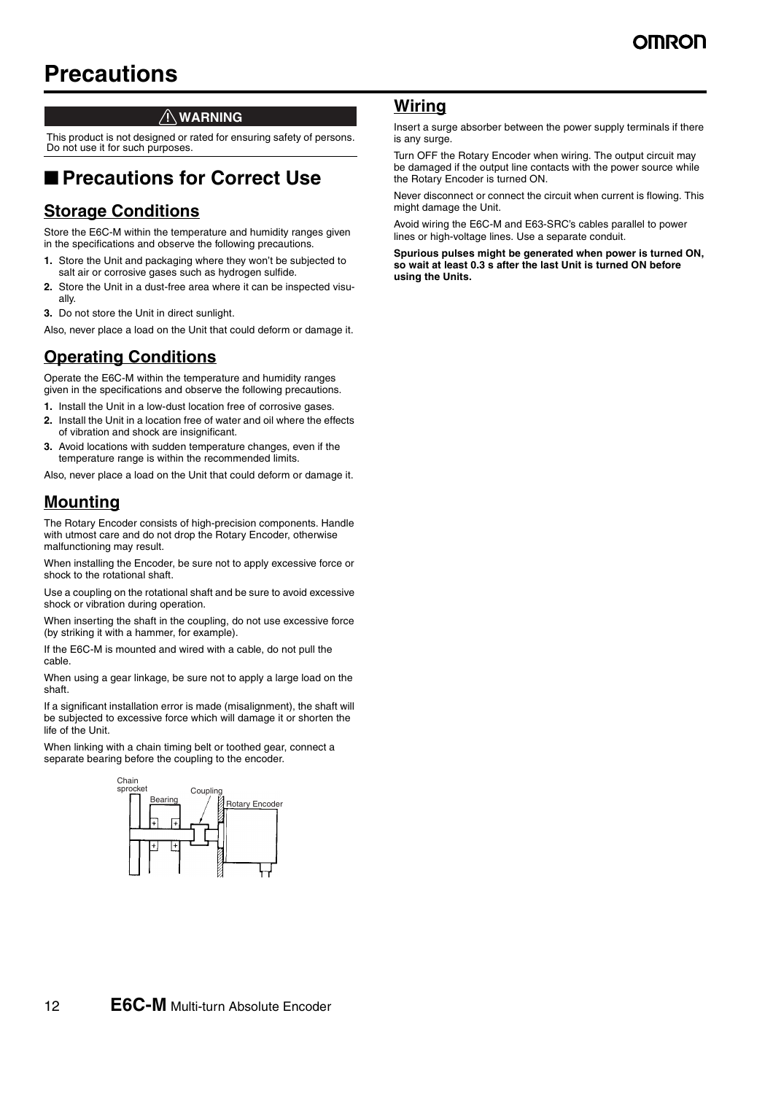## **Precautions**

#### **WARNING**

This product is not designed or rated for ensuring safety of persons. Do not use it for such purposes.

### ■ **Precautions for Correct Use**

### **Storage Conditions**

Store the E6C-M within the temperature and humidity ranges given in the specifications and observe the following precautions.

- **1.** Store the Unit and packaging where they won't be subjected to salt air or corrosive gases such as hydrogen sulfide.
- **2.** Store the Unit in a dust-free area where it can be inspected visually.
- **3.** Do not store the Unit in direct sunlight.

Also, never place a load on the Unit that could deform or damage it.

### **Operating Conditions**

Operate the E6C-M within the temperature and humidity ranges given in the specifications and observe the following precautions.

- **1.** Install the Unit in a low-dust location free of corrosive gases.
- **2.** Install the Unit in a location free of water and oil where the effects of vibration and shock are insignificant.
- **3.** Avoid locations with sudden temperature changes, even if the temperature range is within the recommended limits.

Also, never place a load on the Unit that could deform or damage it.

#### **Mounting**

The Rotary Encoder consists of high-precision components. Handle with utmost care and do not drop the Rotary Encoder, otherwise malfunctioning may result.

When installing the Encoder, be sure not to apply excessive force or shock to the rotational shaft.

Use a coupling on the rotational shaft and be sure to avoid excessive shock or vibration during operation.

When inserting the shaft in the coupling, do not use excessive force (by striking it with a hammer, for example).

If the E6C-M is mounted and wired with a cable, do not pull the cable.

When using a gear linkage, be sure not to apply a large load on the shaft.

If a significant installation error is made (misalignment), the shaft will be subjected to excessive force which will damage it or shorten the life of the Unit.

When linking with a chain timing belt or toothed gear, connect a separate bearing before the coupling to the encoder.



#### **Wiring**

Insert a surge absorber between the power supply terminals if there is any surge.

Turn OFF the Rotary Encoder when wiring. The output circuit may be damaged if the output line contacts with the power source while the Rotary Encoder is turned ON.

Never disconnect or connect the circuit when current is flowing. This might damage the Unit.

Avoid wiring the E6C-M and E63-SRC's cables parallel to power lines or high-voltage lines. Use a separate conduit.

**Spurious pulses might be generated when power is turned ON, so wait at least 0.3 s after the last Unit is turned ON before using the Units.**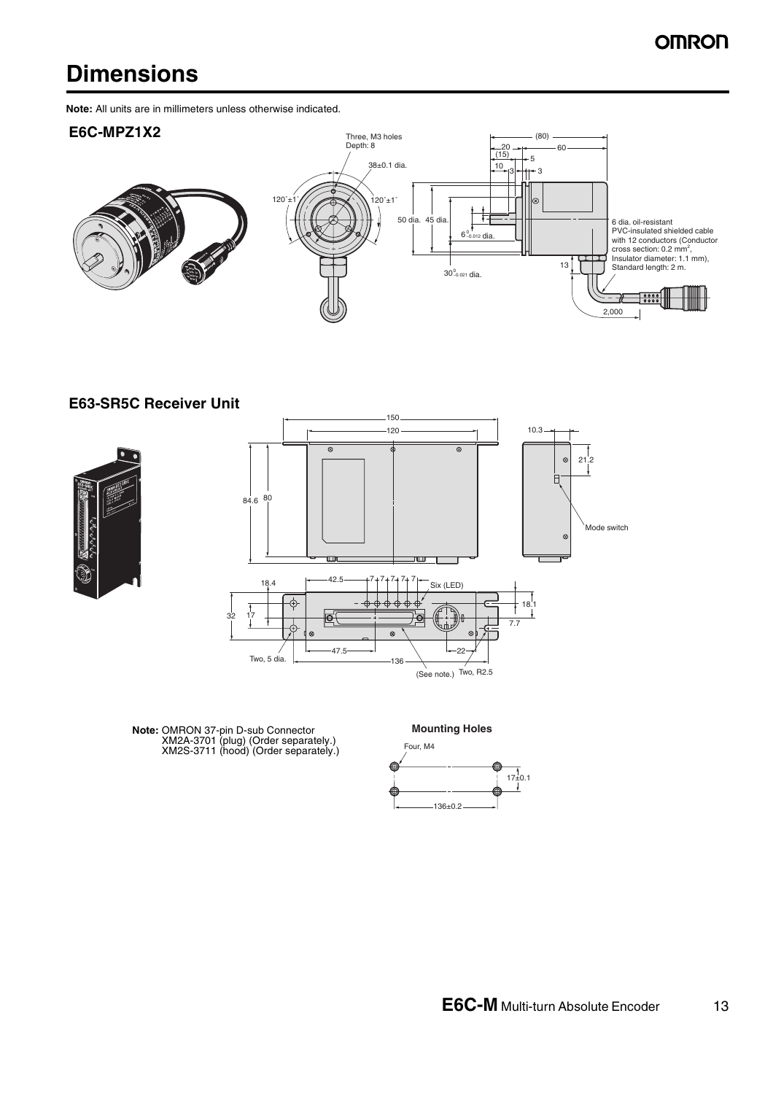## **Dimensions**

**Note:** All units are in millimeters unless otherwise indicated.

#### **E6C-MPZ1X2**



**E63-SR5C Receiver Unit**





**Note:** OMRON 37-pin D-sub Connector XM2A-3701 (plug) (Order separately.) XM2S-3711 (hood) (Order separately.)

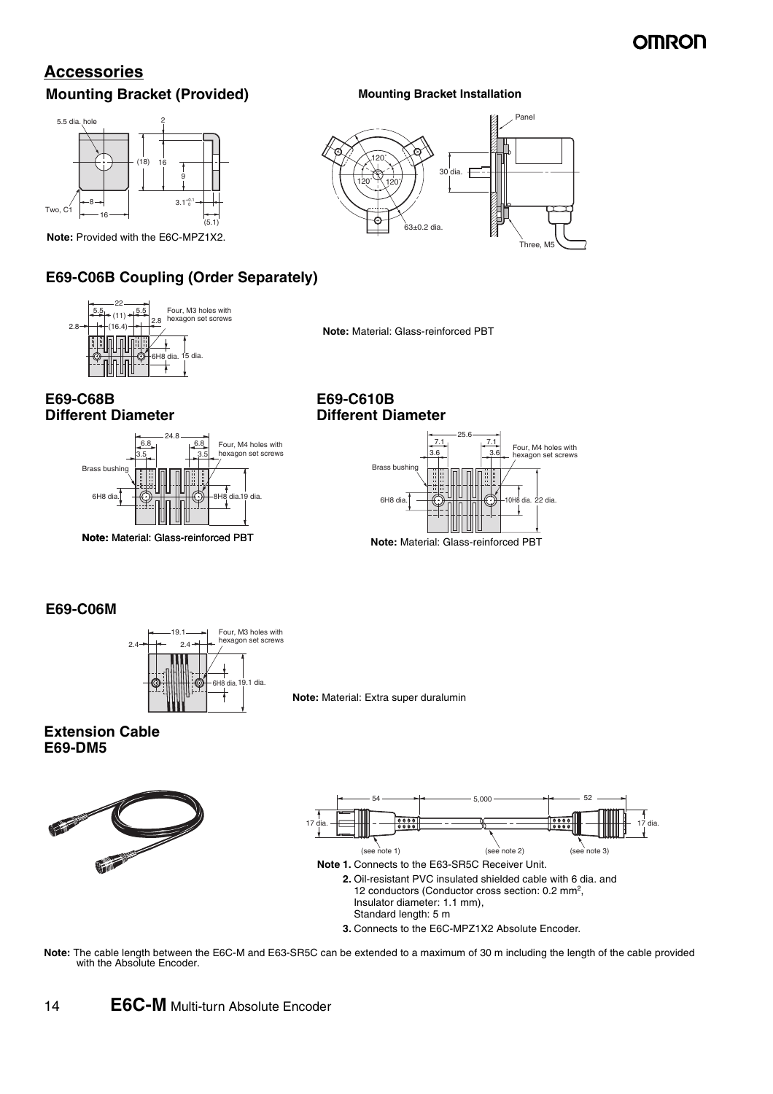### **OMROF**

### **Accessories Mounting Bracket (Provided)**



**Note:** Provided with the E6C-MPZ1X2.

### **E69-C06B Coupling (Order Separately)**



**Note:** Material: Glass-reinforced PBT

63±0.2 dia.

30 dia.

**Mounting Bracket Installation**

#### **E69-C68B Different Diameter**



#### **E69-C610B Different Diameter**

120˚ 120˚ 120˚



Panel

Three

#### **E69-C06M**



**Note:** Material: Extra super duralumin

#### **Extension Cable E69-DM5**





**Note:** The cable length between the E6C-M and E63-SR5C can be extended to a maximum of 30 m including the length of the cable provided with the Absolute Encoder.